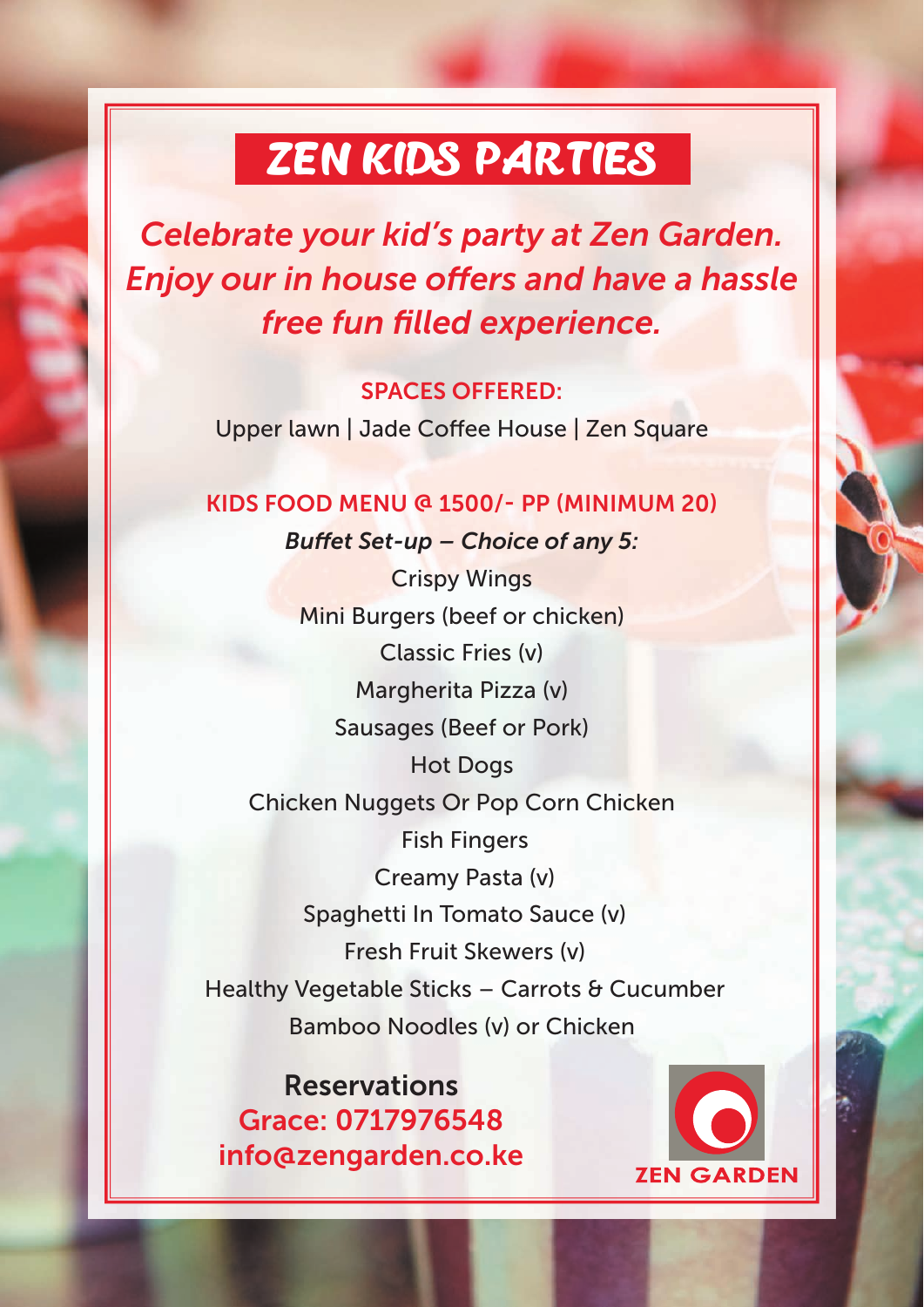## **ZEN KIDS PARTIES**

*Celebrate your kid's party at Zen Garden. Enjoy our in house offers and have a hassle* **free fun filled experience.** 

SPACES OFFERED:

Upper lawn | Jade Coffee House | Zen Square

#### KIDS FOOD MENU @ 1500/- PP (MINIMUM 20)

**Buffet Set-up – Choice of any 5: Crispy Wings** Mini Burgers (beef or chicken) Classic Fries (v) Margherita Pizza (v) Sausages (Beef or Pork) Hot Dogs Chicken Nuggets Or Pop Corn Chicken Fish Fingers Creamy Pasta (v) Spaghetti In Tomato Sauce (v) Fresh Fruit Skewers (v) Healthy Vegetable Sticks - Carrots & Cucumber Bamboo Noodles (v) or Chicken

Reservations Grace: 0717976548 info@zengarden.co.ke

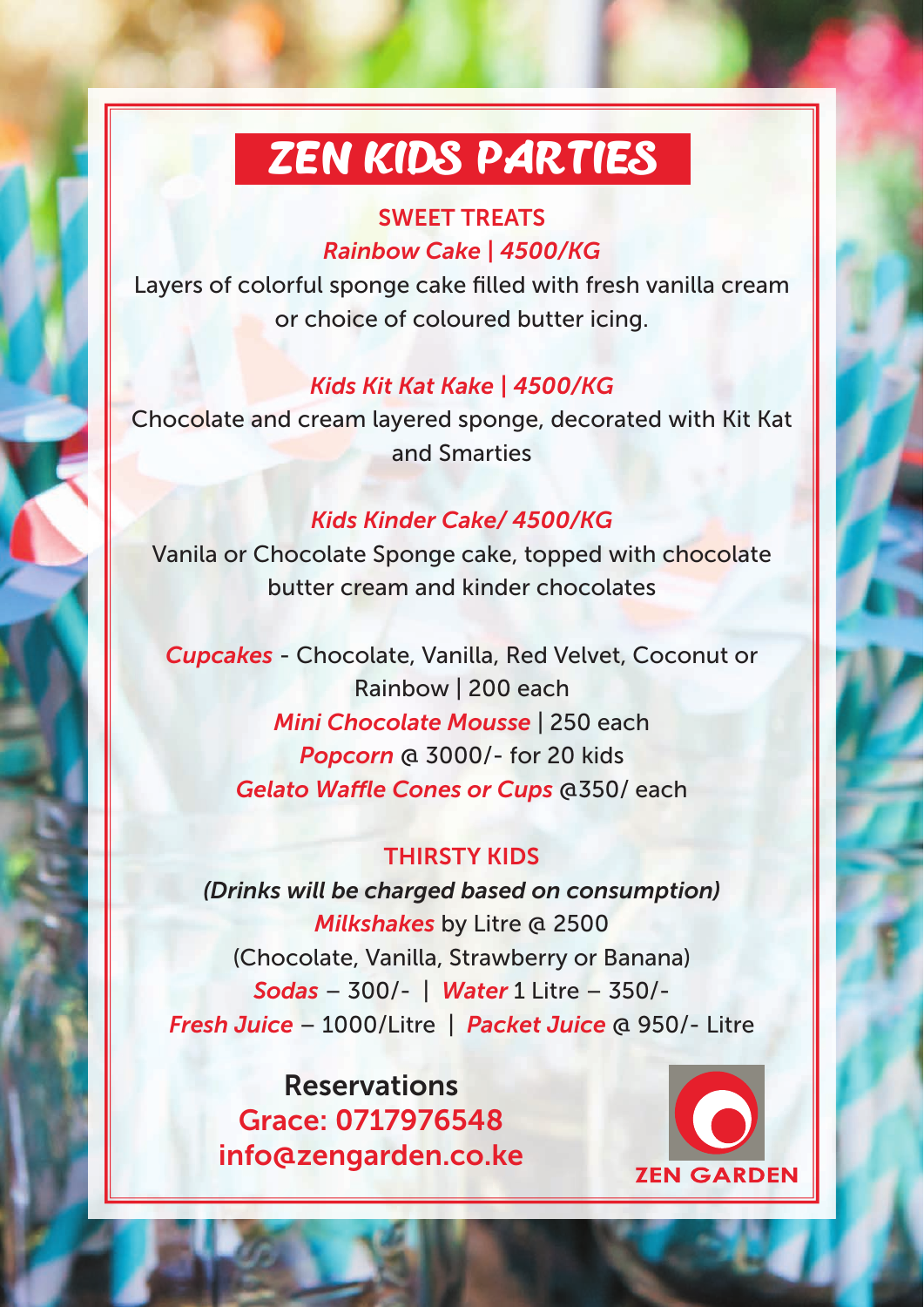## **ZEN KIDS PARTIES**

### SWEET TREATS *Rainbow Cake | 4500/KG*

Layers of colorful sponge cake filled with fresh vanilla cream or choice of coloured butter icing.

### *Kids Kit Kat Kake | 4500/KG*

Chocolate and cream layered sponge, decorated with Kit Kat and Smarties

#### *Kids Kinder Cake/ 4500/KG*

Vanila or Chocolate Sponge cake, topped with chocolate butter cream and kinder chocolates

*Cupcakes* - Chocolate, Vanilla, Red Velvet, Coconut or Rainbow | 200 each *Mini Chocolate Mousse* | 250 each *Popcorn* @ 3000/- for 20 kids *Gelato Waffle Cones or Cups @350/ each* 

### THIRSTY KIDS

*(Drinks will be charged based on consumption) Milkshakes* by Litre @ 2500 (Chocolate, Vanilla, Strawberry or Banana) *Sodas* – 300/- | *Water* 1 Litre – 350/- *Fresh Juice* – 1000/Litre | *Packet Juice* @ 950/- Litre

Reservations Grace: 0717976548 info@zengarden.co.ke